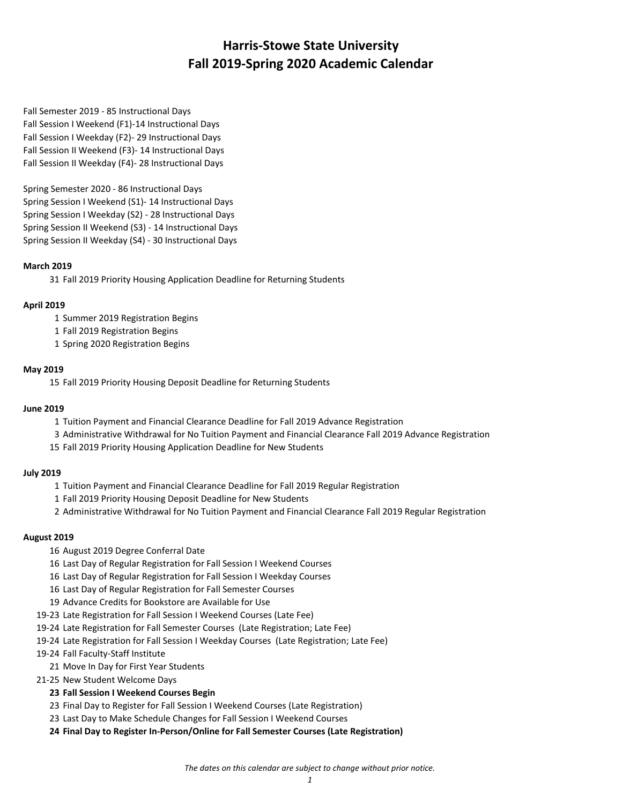Fall Semester 2019 - 85 Instructional Days Fall Session I Weekend (F1)-14 Instructional Days Fall Session I Weekday (F2)- 29 Instructional Days Fall Session II Weekend (F3)- 14 Instructional Days Fall Session II Weekday (F4)- 28 Instructional Days

Spring Semester 2020 - 86 Instructional Days Spring Session I Weekend (S1)- 14 Instructional Days Spring Session I Weekday (S2) - 28 Instructional Days Spring Session II Weekend (S3) - 14 Instructional Days Spring Session II Weekday (S4) - 30 Instructional Days

## **March 2019**

31 Fall 2019 Priority Housing Application Deadline for Returning Students

## **April 2019**

- 1 Summer 2019 Registration Begins
- 1 Fall 2019 Registration Begins
- 1 Spring 2020 Registration Begins

#### **May 2019**

15 Fall 2019 Priority Housing Deposit Deadline for Returning Students

#### **June 2019**

- 1 Tuition Payment and Financial Clearance Deadline for Fall 2019 Advance Registration
- 3 Administrative Withdrawal for No Tuition Payment and Financial Clearance Fall 2019 Advance Registration
- 15 Fall 2019 Priority Housing Application Deadline for New Students

#### **July 2019**

- 1 Tuition Payment and Financial Clearance Deadline for Fall 2019 Regular Registration
- 1 Fall 2019 Priority Housing Deposit Deadline for New Students
- 2 Administrative Withdrawal for No Tuition Payment and Financial Clearance Fall 2019 Regular Registration

#### **August 2019**

- 16 August 2019 Degree Conferral Date
- 16 Last Day of Regular Registration for Fall Session I Weekend Courses
- 16 Last Day of Regular Registration for Fall Session I Weekday Courses
- 16 Last Day of Regular Registration for Fall Semester Courses
- 19 Advance Credits for Bookstore are Available for Use
- 19-23 Late Registration for Fall Session I Weekend Courses (Late Fee)
- 19-24 Late Registration for Fall Semester Courses (Late Registration; Late Fee)
- 19-24 Late Registration for Fall Session I Weekday Courses (Late Registration; Late Fee)
- 19-24 Fall Faculty-Staff Institute
	- 21 Move In Day for First Year Students
- 21-25 New Student Welcome Days

# **23 Fall Session I Weekend Courses Begin**

- 23 Final Day to Register for Fall Session I Weekend Courses (Late Registration)
- 23 Last Day to Make Schedule Changes for Fall Session I Weekend Courses
- **24 Final Day to Register In-Person/Online for Fall Semester Courses (Late Registration)**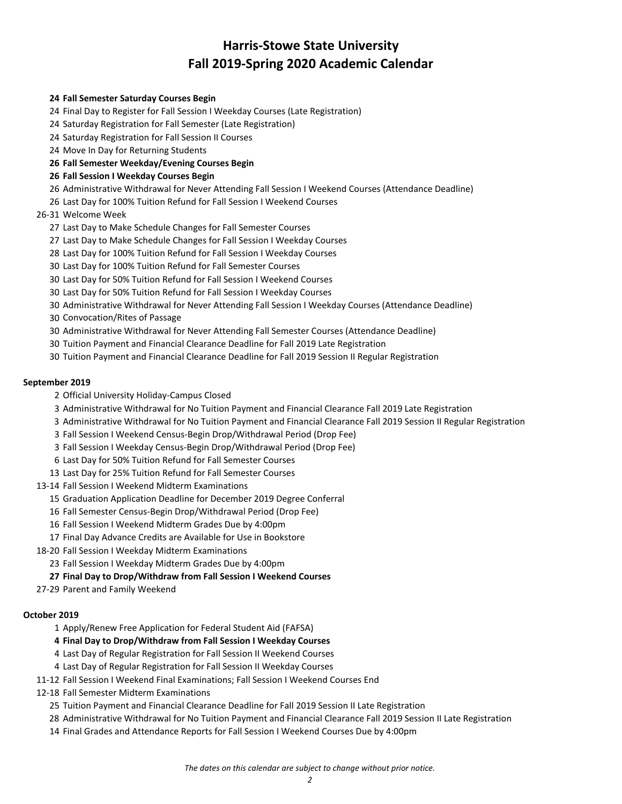## **Fall Semester Saturday Courses Begin**

- Final Day to Register for Fall Session I Weekday Courses (Late Registration)
- Saturday Registration for Fall Semester (Late Registration)
- Saturday Registration for Fall Session II Courses
- Move In Day for Returning Students

## **Fall Semester Weekday/Evening Courses Begin**

## **Fall Session I Weekday Courses Begin**

- Administrative Withdrawal for Never Attending Fall Session I Weekend Courses (Attendance Deadline)
- Last Day for 100% Tuition Refund for Fall Session I Weekend Courses

## 26-31 Welcome Week

- Last Day to Make Schedule Changes for Fall Semester Courses
- Last Day to Make Schedule Changes for Fall Session I Weekday Courses
- Last Day for 100% Tuition Refund for Fall Session I Weekday Courses
- Last Day for 100% Tuition Refund for Fall Semester Courses
- Last Day for 50% Tuition Refund for Fall Session I Weekend Courses
- Last Day for 50% Tuition Refund for Fall Session I Weekday Courses
- Administrative Withdrawal for Never Attending Fall Session I Weekday Courses (Attendance Deadline)
- Convocation/Rites of Passage
- Administrative Withdrawal for Never Attending Fall Semester Courses (Attendance Deadline)
- Tuition Payment and Financial Clearance Deadline for Fall 2019 Late Registration
- Tuition Payment and Financial Clearance Deadline for Fall 2019 Session II Regular Registration

## **September 2019**

- Official University Holiday-Campus Closed
- Administrative Withdrawal for No Tuition Payment and Financial Clearance Fall 2019 Late Registration
- Administrative Withdrawal for No Tuition Payment and Financial Clearance Fall 2019 Session II Regular Registration
- Fall Session I Weekend Census-Begin Drop/Withdrawal Period (Drop Fee)
- Fall Session I Weekday Census-Begin Drop/Withdrawal Period (Drop Fee)
- Last Day for 50% Tuition Refund for Fall Semester Courses
- Last Day for 25% Tuition Refund for Fall Semester Courses
- 13-14 Fall Session I Weekend Midterm Examinations
	- Graduation Application Deadline for December 2019 Degree Conferral
	- Fall Semester Census-Begin Drop/Withdrawal Period (Drop Fee)
	- Fall Session I Weekend Midterm Grades Due by 4:00pm
	- Final Day Advance Credits are Available for Use in Bookstore
- 18-20 Fall Session I Weekday Midterm Examinations
	- Fall Session I Weekday Midterm Grades Due by 4:00pm
	- **Final Day to Drop/Withdraw from Fall Session I Weekend Courses**
- 27-29 Parent and Family Weekend

#### **October 2019**

- Apply/Renew Free Application for Federal Student Aid (FAFSA)
- **Final Day to Drop/Withdraw from Fall Session I Weekday Courses**
- Last Day of Regular Registration for Fall Session II Weekend Courses
- Last Day of Regular Registration for Fall Session II Weekday Courses
- 11-12 Fall Session I Weekend Final Examinations; Fall Session I Weekend Courses End
- 12-18 Fall Semester Midterm Examinations
	- Tuition Payment and Financial Clearance Deadline for Fall 2019 Session II Late Registration
	- Administrative Withdrawal for No Tuition Payment and Financial Clearance Fall 2019 Session II Late Registration
	- Final Grades and Attendance Reports for Fall Session I Weekend Courses Due by 4:00pm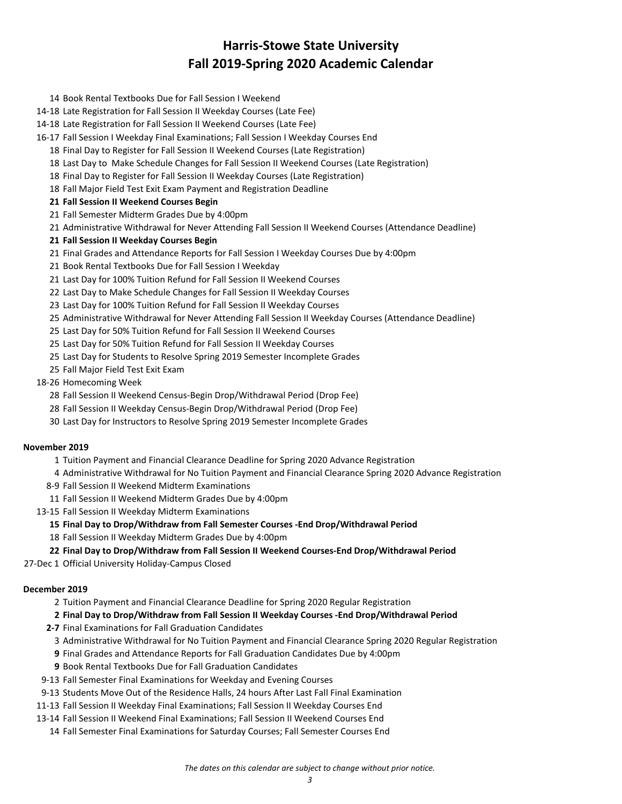- Book Rental Textbooks Due for Fall Session I Weekend
- 14-18 Late Registration for Fall Session II Weekday Courses (Late Fee)
- 14-18 Late Registration for Fall Session II Weekend Courses (Late Fee)
- 16-17 Fall Session I Weekday Final Examinations; Fall Session I Weekday Courses End
	- Final Day to Register for Fall Session II Weekend Courses (Late Registration)
	- Last Day to Make Schedule Changes for Fall Session II Weekend Courses (Late Registration)
	- Final Day to Register for Fall Session II Weekday Courses (Late Registration)
	- Fall Major Field Test Exit Exam Payment and Registration Deadline
	- **Fall Session II Weekend Courses Begin**
	- Fall Semester Midterm Grades Due by 4:00pm
	- Administrative Withdrawal for Never Attending Fall Session II Weekend Courses (Attendance Deadline)
	- **Fall Session II Weekday Courses Begin**
	- Final Grades and Attendance Reports for Fall Session I Weekday Courses Due by 4:00pm
	- Book Rental Textbooks Due for Fall Session I Weekday
	- Last Day for 100% Tuition Refund for Fall Session II Weekend Courses
	- Last Day to Make Schedule Changes for Fall Session II Weekday Courses
	- Last Day for 100% Tuition Refund for Fall Session II Weekday Courses
	- Administrative Withdrawal for Never Attending Fall Session II Weekday Courses (Attendance Deadline)
	- Last Day for 50% Tuition Refund for Fall Session II Weekend Courses
	- Last Day for 50% Tuition Refund for Fall Session II Weekday Courses
	- Last Day for Students to Resolve Spring 2019 Semester Incomplete Grades
	- Fall Major Field Test Exit Exam
- 18-26 Homecoming Week
	- Fall Session II Weekend Census-Begin Drop/Withdrawal Period (Drop Fee)
	- Fall Session II Weekday Census-Begin Drop/Withdrawal Period (Drop Fee)
	- Last Day for Instructors to Resolve Spring 2019 Semester Incomplete Grades

#### **November 2019**

- Tuition Payment and Financial Clearance Deadline for Spring 2020 Advance Registration
- Administrative Withdrawal for No Tuition Payment and Financial Clearance Spring 2020 Advance Registration
- 8-9 Fall Session II Weekend Midterm Examinations
- Fall Session II Weekend Midterm Grades Due by 4:00pm
- 13-15 Fall Session II Weekday Midterm Examinations
	- **Final Day to Drop/Withdraw from Fall Semester Courses -End Drop/Withdrawal Period**
	- Fall Session II Weekday Midterm Grades Due by 4:00pm
- **Final Day to Drop/Withdraw from Fall Session II Weekend Courses-End Drop/Withdrawal Period**
- 27-Dec 1 Official University Holiday-Campus Closed

## **December 2019**

- Tuition Payment and Financial Clearance Deadline for Spring 2020 Regular Registration
- **Final Day to Drop/Withdraw from Fall Session II Weekday Courses -End Drop/Withdrawal Period**
- **2-7** Final Examinations for Fall Graduation Candidates
	- Administrative Withdrawal for No Tuition Payment and Financial Clearance Spring 2020 Regular Registration
	- Final Grades and Attendance Reports for Fall Graduation Candidates Due by 4:00pm
	- Book Rental Textbooks Due for Fall Graduation Candidates
- 9-13 Fall Semester Final Examinations for Weekday and Evening Courses
- 9-13 Students Move Out of the Residence Halls, 24 hours After Last Fall Final Examination
- 11-13 Fall Session II Weekday Final Examinations; Fall Session II Weekday Courses End
- 13-14 Fall Session II Weekend Final Examinations; Fall Session II Weekend Courses End
	- Fall Semester Final Examinations for Saturday Courses; Fall Semester Courses End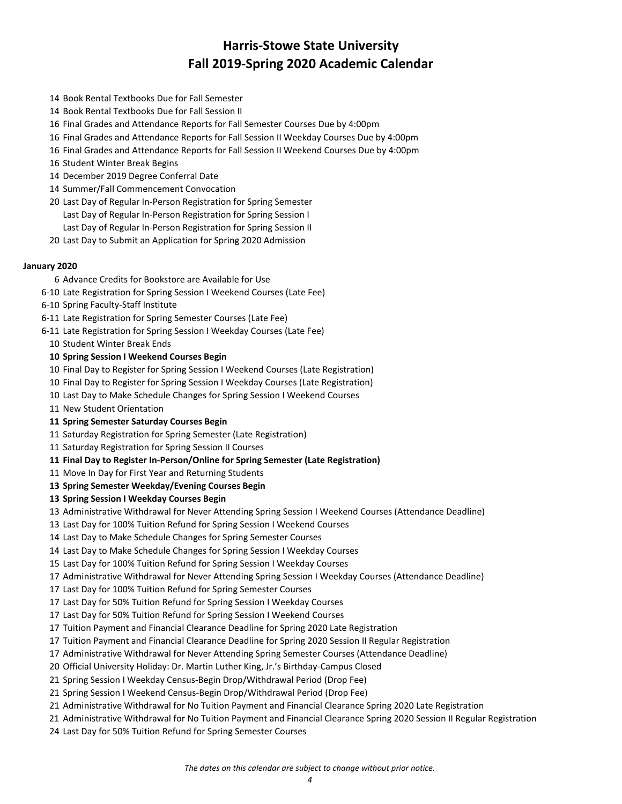- Book Rental Textbooks Due for Fall Semester
- Book Rental Textbooks Due for Fall Session II
- Final Grades and Attendance Reports for Fall Semester Courses Due by 4:00pm
- Final Grades and Attendance Reports for Fall Session II Weekday Courses Due by 4:00pm
- Final Grades and Attendance Reports for Fall Session II Weekend Courses Due by 4:00pm
- Student Winter Break Begins
- December 2019 Degree Conferral Date
- Summer/Fall Commencement Convocation
- Last Day of Regular In-Person Registration for Spring Semester
	- Last Day of Regular In-Person Registration for Spring Session I
	- Last Day of Regular In-Person Registration for Spring Session II
- Last Day to Submit an Application for Spring 2020 Admission

#### **January 2020**

- Advance Credits for Bookstore are Available for Use
- 6-10 Late Registration for Spring Session I Weekend Courses (Late Fee)
- 6-10 Spring Faculty-Staff Institute
- 6-11 Late Registration for Spring Semester Courses (Late Fee)
- 6-11 Late Registration for Spring Session I Weekday Courses (Late Fee)
- Student Winter Break Ends

## **Spring Session I Weekend Courses Begin**

- Final Day to Register for Spring Session I Weekend Courses (Late Registration)
- Final Day to Register for Spring Session I Weekday Courses (Late Registration)
- Last Day to Make Schedule Changes for Spring Session I Weekend Courses
- New Student Orientation

## **Spring Semester Saturday Courses Begin**

- Saturday Registration for Spring Semester (Late Registration)
- Saturday Registration for Spring Session II Courses
- **Final Day to Register In-Person/Online for Spring Semester (Late Registration)**
- Move In Day for First Year and Returning Students
- **Spring Semester Weekday/Evening Courses Begin**

#### **Spring Session I Weekday Courses Begin**

Administrative Withdrawal for Never Attending Spring Session I Weekend Courses (Attendance Deadline)

Last Day for 100% Tuition Refund for Spring Session I Weekend Courses

- Last Day to Make Schedule Changes for Spring Semester Courses
- Last Day to Make Schedule Changes for Spring Session I Weekday Courses
- Last Day for 100% Tuition Refund for Spring Session I Weekday Courses
- Administrative Withdrawal for Never Attending Spring Session I Weekday Courses (Attendance Deadline)
- Last Day for 100% Tuition Refund for Spring Semester Courses
- Last Day for 50% Tuition Refund for Spring Session I Weekday Courses
- Last Day for 50% Tuition Refund for Spring Session I Weekend Courses
- Tuition Payment and Financial Clearance Deadline for Spring 2020 Late Registration
- Tuition Payment and Financial Clearance Deadline for Spring 2020 Session II Regular Registration
- Administrative Withdrawal for Never Attending Spring Semester Courses (Attendance Deadline)
- Official University Holiday: Dr. Martin Luther King, Jr.'s Birthday-Campus Closed
- Spring Session I Weekday Census-Begin Drop/Withdrawal Period (Drop Fee)
- Spring Session I Weekend Census-Begin Drop/Withdrawal Period (Drop Fee)
- Administrative Withdrawal for No Tuition Payment and Financial Clearance Spring 2020 Late Registration
- Administrative Withdrawal for No Tuition Payment and Financial Clearance Spring 2020 Session II Regular Registration
- Last Day for 50% Tuition Refund for Spring Semester Courses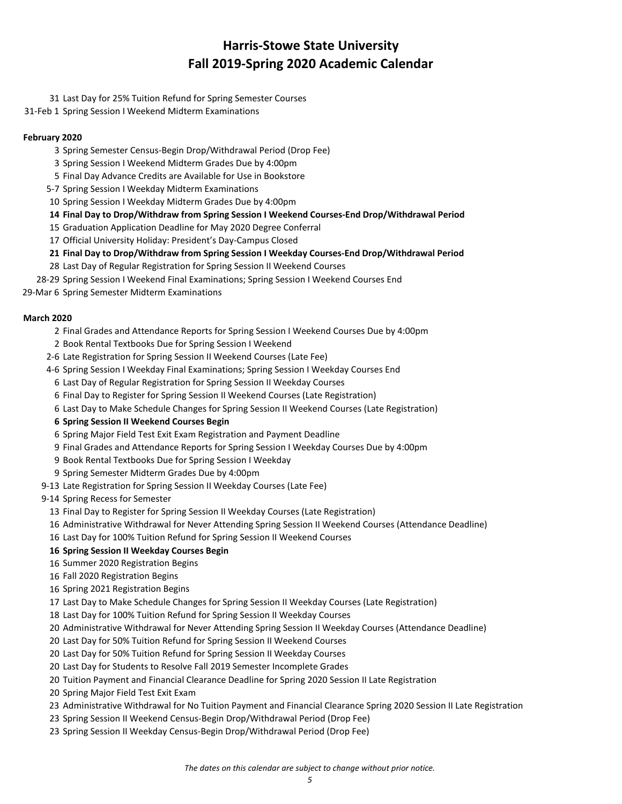Last Day for 25% Tuition Refund for Spring Semester Courses

31-Feb 1 Spring Session I Weekend Midterm Examinations

## **February 2020**

- Spring Semester Census-Begin Drop/Withdrawal Period (Drop Fee)
- Spring Session I Weekend Midterm Grades Due by 4:00pm
- Final Day Advance Credits are Available for Use in Bookstore
- 5-7 Spring Session I Weekday Midterm Examinations
- Spring Session I Weekday Midterm Grades Due by 4:00pm
- **Final Day to Drop/Withdraw from Spring Session I Weekend Courses-End Drop/Withdrawal Period**
- Graduation Application Deadline for May 2020 Degree Conferral
- Official University Holiday: President's Day-Campus Closed
- **Final Day to Drop/Withdraw from Spring Session I Weekday Courses-End Drop/Withdrawal Period**
- Last Day of Regular Registration for Spring Session II Weekend Courses
- 28-29 Spring Session I Weekend Final Examinations; Spring Session I Weekend Courses End
- 29-Mar 6 Spring Semester Midterm Examinations

## **March 2020**

- Final Grades and Attendance Reports for Spring Session I Weekend Courses Due by 4:00pm
- Book Rental Textbooks Due for Spring Session I Weekend
- 2-6 Late Registration for Spring Session II Weekend Courses (Late Fee)
- 4-6 Spring Session I Weekday Final Examinations; Spring Session I Weekday Courses End
	- Last Day of Regular Registration for Spring Session II Weekday Courses
	- Final Day to Register for Spring Session II Weekend Courses (Late Registration)
	- Last Day to Make Schedule Changes for Spring Session II Weekend Courses (Late Registration)
	- **Spring Session II Weekend Courses Begin**
	- Spring Major Field Test Exit Exam Registration and Payment Deadline
	- Final Grades and Attendance Reports for Spring Session I Weekday Courses Due by 4:00pm
	- Book Rental Textbooks Due for Spring Session I Weekday
- Spring Semester Midterm Grades Due by 4:00pm
- 9-13 Late Registration for Spring Session II Weekday Courses (Late Fee)
- 9-14 Spring Recess for Semester
	- Final Day to Register for Spring Session II Weekday Courses (Late Registration)
	- Administrative Withdrawal for Never Attending Spring Session II Weekend Courses (Attendance Deadline)
	- Last Day for 100% Tuition Refund for Spring Session II Weekend Courses

# **Spring Session II Weekday Courses Begin**

- Summer 2020 Registration Begins
- Fall 2020 Registration Begins
- Spring 2021 Registration Begins
- Last Day to Make Schedule Changes for Spring Session II Weekday Courses (Late Registration)
- Last Day for 100% Tuition Refund for Spring Session II Weekday Courses
- Administrative Withdrawal for Never Attending Spring Session II Weekday Courses (Attendance Deadline)
- Last Day for 50% Tuition Refund for Spring Session II Weekend Courses
- Last Day for 50% Tuition Refund for Spring Session II Weekday Courses
- Last Day for Students to Resolve Fall 2019 Semester Incomplete Grades
- Tuition Payment and Financial Clearance Deadline for Spring 2020 Session II Late Registration
- Spring Major Field Test Exit Exam
- Administrative Withdrawal for No Tuition Payment and Financial Clearance Spring 2020 Session II Late Registration
- Spring Session II Weekend Census-Begin Drop/Withdrawal Period (Drop Fee)
- Spring Session II Weekday Census-Begin Drop/Withdrawal Period (Drop Fee)